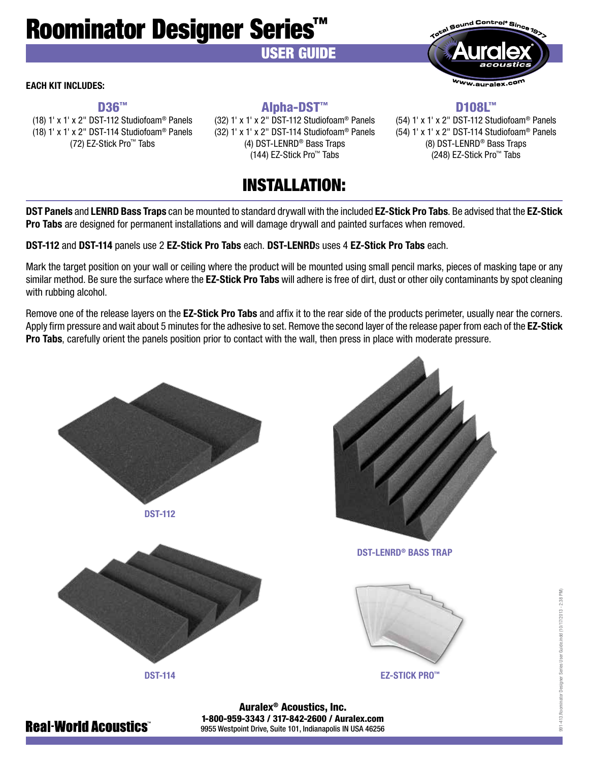# Roominator Designer Series™

## USER GUIDE

#### EACH KIT INCLUDES:

D<sub>36™</sub> (18) 1' x 1' x 2" DST-112 Studiofoam® Panels (18) 1' x 1' x 2" DST-114 Studiofoam® Panels (72) EZ-Stick Pro™ Tabs

## Alpha-DST™

(32) 1' x 1' x 2" DST-112 Studiofoam® Panels (32) 1' x 1' x 2" DST-114 Studiofoam® Panels (4) DST-LENRD® Bass Traps (144) EZ-Stick Pro™ Tabs

D<sub>108</sub>L™ (54) 1' x 1' x 2" DST-112 Studiofoam® Panels (54) 1' x 1' x 2" DST-114 Studiofoam® Panels (8) DST-LENRD® Bass Traps (248) EZ-Stick Pro™ Tabs

Sound Control® Since

Ww.auralex.col

## INSTALLATION:

DST Panels and LENRD Bass Traps can be mounted to standard drywall with the included EZ-Stick Pro Tabs. Be advised that the EZ-Stick Pro Tabs are designed for permanent installations and will damage drywall and painted surfaces when removed.

DST-112 and DST-114 panels use 2 EZ-Stick Pro Tabs each. DST-LENRDs uses 4 EZ-Stick Pro Tabs each.

Mark the target position on your wall or ceiling where the product will be mounted using small pencil marks, pieces of masking tape or any similar method. Be sure the surface where the **EZ-Stick Pro Tabs** will adhere is free of dirt, dust or other oily contaminants by spot cleaning with rubbing alcohol.

Remove one of the release layers on the **EZ-Stick Pro Tabs** and affix it to the rear side of the products perimeter, usually near the corners. Apply firm pressure and wait about 5 minutes for the adhesive to set. Remove the second layer of the release paper from each of the EZ-Stick Pro Tabs, carefully orient the panels position prior to contact with the wall, then press in place with moderate pressure.







#### EZ-STICK PRO™

991-413.Roominator Designer Series User Guide.indd (10/17/2013 - 2:38 PM)

Auralex® Acoustics, Inc. 1-800-959-3343 / 317-842-2600 / Auralex.com 9955 Westpoint Drive, Suite 101, Indianapolis IN USA 46256